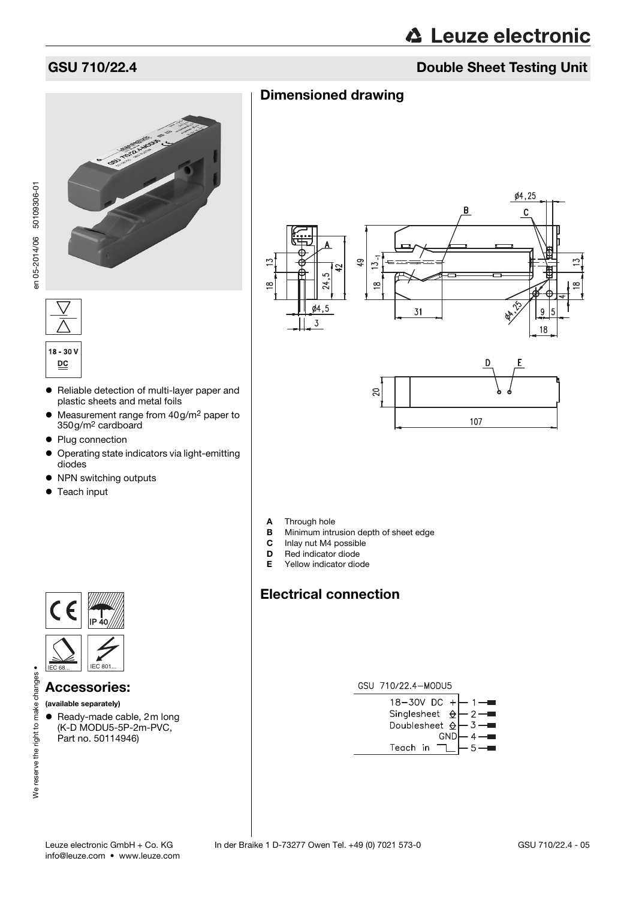# **△ Leuze electronic**

### GSU 710/22.4 Double Sheet Testing Unit





# $18 - 30V$  $\underline{\mathsf{PC}}$

- Reliable detection of multi-layer paper and plastic sheets and metal foils
- Measurement range from 40g/m<sup>2</sup> paper to 350g/m2 cardboard
- Plug connection
- Operating state indicators via light-emitting diodes
- NPN switching outputs
- Teach input



#### Accessories:

(available separately)

We reserve the right to make changes .

• Ready-made cable, 2m long (K-D MODU5-5P-2m-PVC, Part no. 50114946)





- **A** Through hole<br>**B** Minimum intro
- **B** Minimum intrusion depth of sheet edge<br>**C** Inlay nut M4 possible
- Inlay nut M4 possible
- 
- **D** Red indicator diode<br>**E** Yellow indicator dio Yellow indicator diode

## Electrical connection

Dimensioned drawing